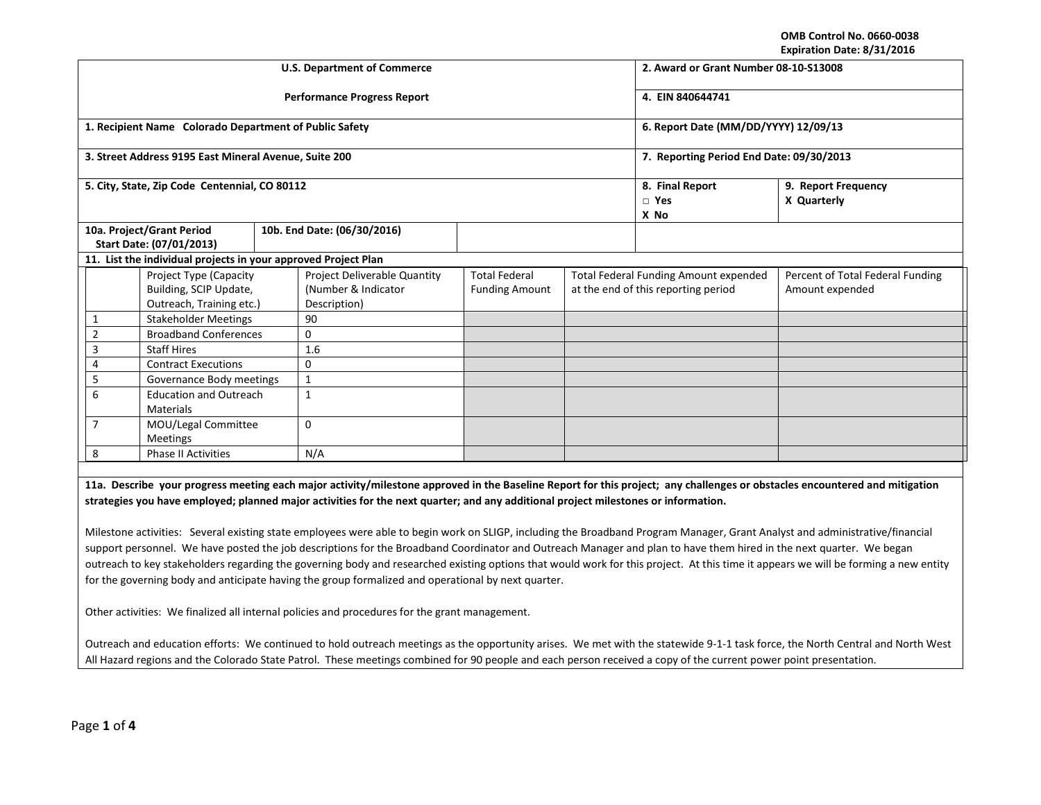**OMB Control No. 0660-0038 Expiration Date: 8/31/2016**

|                                                                                                                                                                            |                                                        |     | <b>U.S. Department of Commerce</b>  | 2. Award or Grant Number 08-10-S13008 |                                              |                     |                                  |
|----------------------------------------------------------------------------------------------------------------------------------------------------------------------------|--------------------------------------------------------|-----|-------------------------------------|---------------------------------------|----------------------------------------------|---------------------|----------------------------------|
|                                                                                                                                                                            |                                                        |     | <b>Performance Progress Report</b>  | 4. EIN 840644741                      |                                              |                     |                                  |
|                                                                                                                                                                            | 1. Recipient Name Colorado Department of Public Safety |     |                                     |                                       | 6. Report Date (MM/DD/YYYY) 12/09/13         |                     |                                  |
|                                                                                                                                                                            | 3. Street Address 9195 East Mineral Avenue, Suite 200  |     |                                     |                                       | 7. Reporting Period End Date: 09/30/2013     |                     |                                  |
|                                                                                                                                                                            | 5. City, State, Zip Code Centennial, CO 80112          |     |                                     |                                       | 8. Final Report                              | 9. Report Frequency |                                  |
|                                                                                                                                                                            |                                                        |     |                                     |                                       |                                              | $\Box$ Yes          | X Quarterly                      |
|                                                                                                                                                                            |                                                        |     |                                     |                                       |                                              | X No                |                                  |
|                                                                                                                                                                            |                                                        |     | 10b. End Date: (06/30/2016)         |                                       |                                              |                     |                                  |
|                                                                                                                                                                            | 10a. Project/Grant Period<br>Start Date: (07/01/2013)  |     |                                     |                                       |                                              |                     |                                  |
| 11. List the individual projects in your approved Project Plan                                                                                                             |                                                        |     |                                     |                                       |                                              |                     |                                  |
|                                                                                                                                                                            | <b>Project Type (Capacity</b>                          |     | <b>Project Deliverable Quantity</b> | <b>Total Federal</b>                  | <b>Total Federal Funding Amount expended</b> |                     | Percent of Total Federal Funding |
|                                                                                                                                                                            | Building, SCIP Update,                                 |     | (Number & Indicator                 | <b>Funding Amount</b>                 | at the end of this reporting period          |                     | Amount expended                  |
|                                                                                                                                                                            | Outreach, Training etc.)                               |     | Description)                        |                                       |                                              |                     |                                  |
| 1                                                                                                                                                                          | <b>Stakeholder Meetings</b>                            |     | 90                                  |                                       |                                              |                     |                                  |
| $\overline{2}$                                                                                                                                                             | <b>Broadband Conferences</b>                           |     | 0                                   |                                       |                                              |                     |                                  |
| 3                                                                                                                                                                          | <b>Staff Hires</b>                                     |     | 1.6                                 |                                       |                                              |                     |                                  |
| 4                                                                                                                                                                          | <b>Contract Executions</b>                             |     | 0                                   |                                       |                                              |                     |                                  |
| 5                                                                                                                                                                          | Governance Body meetings                               |     | $\mathbf{1}$                        |                                       |                                              |                     |                                  |
| 6                                                                                                                                                                          | <b>Education and Outreach</b>                          |     | $\mathbf{1}$                        |                                       |                                              |                     |                                  |
|                                                                                                                                                                            | Materials                                              |     |                                     |                                       |                                              |                     |                                  |
| 7                                                                                                                                                                          | MOU/Legal Committee                                    |     | 0                                   |                                       |                                              |                     |                                  |
|                                                                                                                                                                            | <b>Meetings</b>                                        |     |                                     |                                       |                                              |                     |                                  |
| 8<br><b>Phase II Activities</b>                                                                                                                                            |                                                        | N/A |                                     |                                       |                                              |                     |                                  |
|                                                                                                                                                                            |                                                        |     |                                     |                                       |                                              |                     |                                  |
| 11a. Describe your progress meeting each major activity/milestone approved in the Baseline Report for this project; any challenges or obstacles encountered and mitigation |                                                        |     |                                     |                                       |                                              |                     |                                  |
| strategies you have employed; planned major activities for the next quarter; and any additional project milestones or information.                                         |                                                        |     |                                     |                                       |                                              |                     |                                  |
|                                                                                                                                                                            |                                                        |     |                                     |                                       |                                              |                     |                                  |

Milestone activities: Several existing state employees were able to begin work on SLIGP, including the Broadband Program Manager, Grant Analyst and administrative/financial support personnel. We have posted the job descriptions for the Broadband Coordinator and Outreach Manager and plan to have them hired in the next quarter. We began outreach to key stakeholders regarding the governing body and researched existing options that would work for this project. At this time it appears we will be forming a new entity for the governing body and anticipate having the group formalized and operational by next quarter.

Other activities: We finalized all internal policies and procedures for the grant management.

Outreach and education efforts: We continued to hold outreach meetings as the opportunity arises. We met with the statewide 9-1-1 task force, the North Central and North West All Hazard regions and the Colorado State Patrol. These meetings combined for 90 people and each person received a copy of the current power point presentation.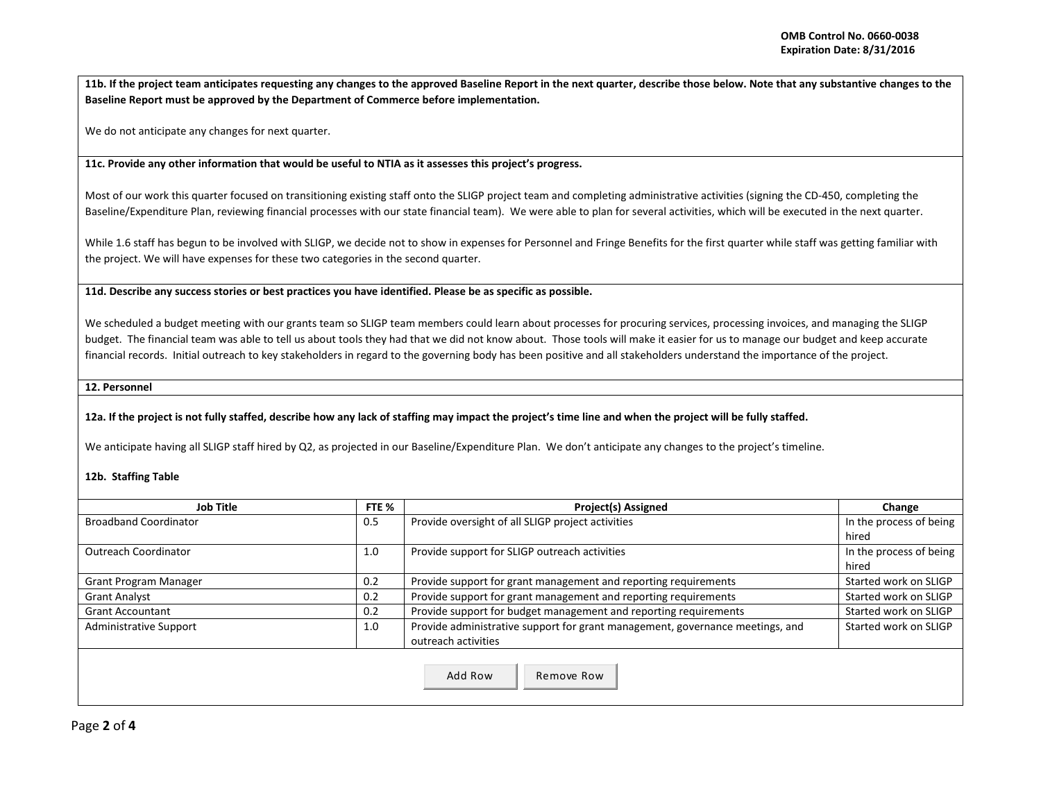**11b. If the project team anticipates requesting any changes to the approved Baseline Report in the next quarter, describe those below. Note that any substantive changes to the Baseline Report must be approved by the Department of Commerce before implementation.** 

We do not anticipate any changes for next quarter.

**11c. Provide any other information that would be useful to NTIA as it assesses this project's progress.** 

Most of our work this quarter focused on transitioning existing staff onto the SLIGP project team and completing administrative activities (signing the CD-450, completing the Baseline/Expenditure Plan, reviewing financial processes with our state financial team). We were able to plan for several activities, which will be executed in the next quarter.

While 1.6 staff has begun to be involved with SLIGP, we decide not to show in expenses for Personnel and Fringe Benefits for the first quarter while staff was getting familiar with the project. We will have expenses for these two categories in the second quarter.

**11d. Describe any success stories or best practices you have identified. Please be as specific as possible.**

We scheduled a budget meeting with our grants team so SLIGP team members could learn about processes for procuring services, processing invoices, and managing the SLIGP budget. The financial team was able to tell us about tools they had that we did not know about. Those tools will make it easier for us to manage our budget and keep accurate financial records. Initial outreach to key stakeholders in regard to the governing body has been positive and all stakeholders understand the importance of the project.

**12. Personnel** 

**12a. If the project is not fully staffed, describe how any lack of staffing may impact the project's time line and when the project will be fully staffed.**

We anticipate having all SLIGP staff hired by Q2, as projected in our Baseline/Expenditure Plan. We don't anticipate any changes to the project's timeline.

## **12b. Staffing Table**

| Job Title                            | FTE %                                                                  | <b>Project(s) Assigned</b>                                                    | Change                  |
|--------------------------------------|------------------------------------------------------------------------|-------------------------------------------------------------------------------|-------------------------|
| <b>Broadband Coordinator</b>         |                                                                        | Provide oversight of all SLIGP project activities                             | In the process of being |
|                                      |                                                                        |                                                                               | hired                   |
| <b>Outreach Coordinator</b>          |                                                                        | Provide support for SLIGP outreach activities                                 | In the process of being |
|                                      |                                                                        |                                                                               | hired                   |
| Grant Program Manager                | Provide support for grant management and reporting requirements<br>0.2 |                                                                               | Started work on SLIGP   |
| 0.2<br><b>Grant Analyst</b>          |                                                                        | Provide support for grant management and reporting requirements               | Started work on SLIGP   |
| 0.2<br><b>Grant Accountant</b>       |                                                                        | Provide support for budget management and reporting requirements              | Started work on SLIGP   |
| <b>Administrative Support</b><br>1.0 |                                                                        | Provide administrative support for grant management, governance meetings, and | Started work on SLIGP   |
|                                      |                                                                        | outreach activities                                                           |                         |
|                                      |                                                                        | Add Row<br>Remove Row                                                         |                         |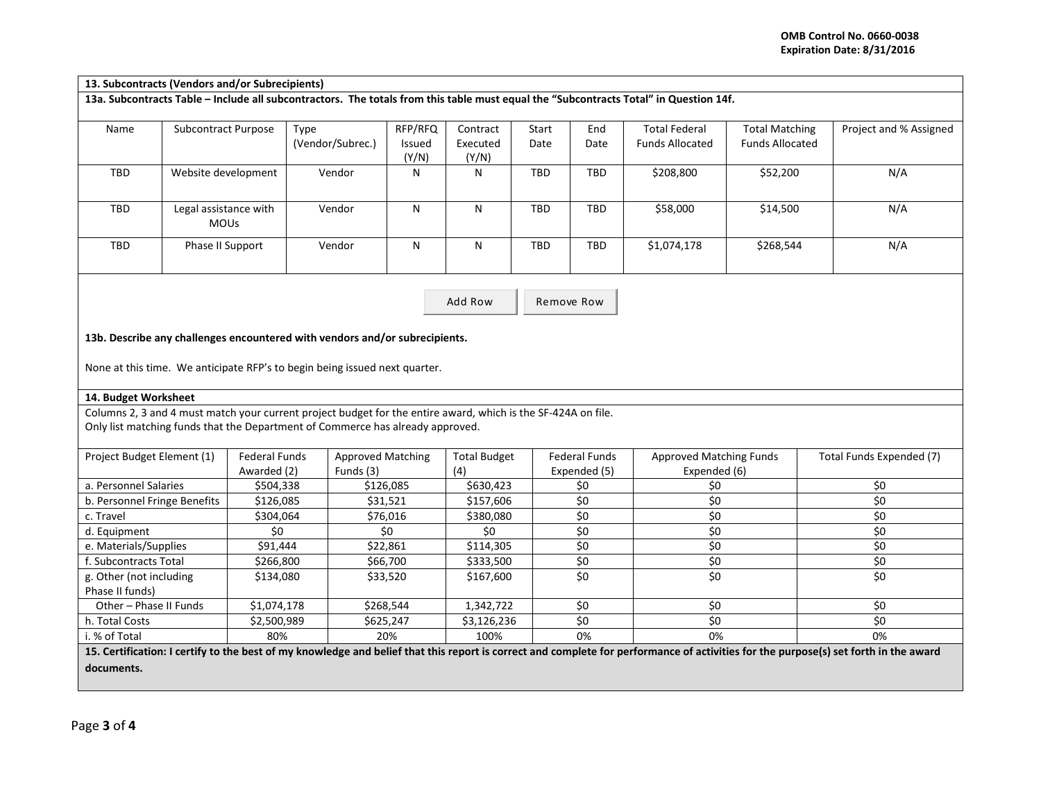| 13. Subcontracts (Vendors and/or Subrecipients) |                                      |                      |                                                                                                               |                            |                               |               |                      |                                                                                                                                       |                                                 |                                                                                                                                                                                      |
|-------------------------------------------------|--------------------------------------|----------------------|---------------------------------------------------------------------------------------------------------------|----------------------------|-------------------------------|---------------|----------------------|---------------------------------------------------------------------------------------------------------------------------------------|-------------------------------------------------|--------------------------------------------------------------------------------------------------------------------------------------------------------------------------------------|
|                                                 |                                      |                      |                                                                                                               |                            |                               |               |                      | 13a. Subcontracts Table - Include all subcontractors. The totals from this table must equal the "Subcontracts Total" in Question 14f. |                                                 |                                                                                                                                                                                      |
| Name                                            | <b>Subcontract Purpose</b>           |                      | Type<br>(Vendor/Subrec.)                                                                                      | RFP/RFQ<br>Issued<br>(Y/N) | Contract<br>Executed<br>(Y/N) | Start<br>Date | End<br>Date          | <b>Total Federal</b><br><b>Funds Allocated</b>                                                                                        | <b>Total Matching</b><br><b>Funds Allocated</b> | Project and % Assigned                                                                                                                                                               |
| TBD                                             | Website development                  |                      | Vendor                                                                                                        | N                          | N                             | TBD           | <b>TBD</b>           | \$208,800                                                                                                                             | \$52,200                                        | N/A                                                                                                                                                                                  |
| TBD                                             | Legal assistance with<br><b>MOUs</b> |                      | Vendor                                                                                                        | N                          | N                             | TBD           | TBD                  | \$58,000                                                                                                                              | \$14,500                                        | N/A                                                                                                                                                                                  |
| TBD                                             | Phase II Support                     |                      | Vendor                                                                                                        | N                          | N                             | <b>TBD</b>    | <b>TBD</b>           | \$1,074,178                                                                                                                           | \$268,544                                       | N/A                                                                                                                                                                                  |
|                                                 |                                      |                      |                                                                                                               |                            |                               |               |                      |                                                                                                                                       |                                                 |                                                                                                                                                                                      |
|                                                 |                                      |                      |                                                                                                               |                            | Add Row                       |               | Remove Row           |                                                                                                                                       |                                                 |                                                                                                                                                                                      |
|                                                 |                                      |                      | 13b. Describe any challenges encountered with vendors and/or subrecipients.                                   |                            |                               |               |                      |                                                                                                                                       |                                                 |                                                                                                                                                                                      |
|                                                 |                                      |                      | None at this time. We anticipate RFP's to begin being issued next quarter.                                    |                            |                               |               |                      |                                                                                                                                       |                                                 |                                                                                                                                                                                      |
| 14. Budget Worksheet                            |                                      |                      |                                                                                                               |                            |                               |               |                      |                                                                                                                                       |                                                 |                                                                                                                                                                                      |
|                                                 |                                      |                      | Columns 2, 3 and 4 must match your current project budget for the entire award, which is the SF-424A on file. |                            |                               |               |                      |                                                                                                                                       |                                                 |                                                                                                                                                                                      |
|                                                 |                                      |                      | Only list matching funds that the Department of Commerce has already approved.                                |                            |                               |               |                      |                                                                                                                                       |                                                 |                                                                                                                                                                                      |
|                                                 |                                      | <b>Federal Funds</b> | <b>Approved Matching</b>                                                                                      |                            | <b>Total Budget</b>           |               | <b>Federal Funds</b> | <b>Approved Matching Funds</b>                                                                                                        |                                                 | Total Funds Expended (7)                                                                                                                                                             |
| Project Budget Element (1)                      |                                      | Awarded (2)          | Funds (3)                                                                                                     |                            | (4)                           |               | Expended (5)         | Expended (6)                                                                                                                          |                                                 |                                                                                                                                                                                      |
| a. Personnel Salaries                           |                                      | \$504,338            |                                                                                                               | \$126,085                  | \$630,423                     |               | \$0                  | \$0                                                                                                                                   |                                                 | \$0                                                                                                                                                                                  |
| b. Personnel Fringe Benefits                    |                                      | \$126,085            |                                                                                                               | \$31,521                   | \$157,606                     |               | \$0                  | \$0                                                                                                                                   |                                                 | $\overline{\xi_0}$                                                                                                                                                                   |
| c. Travel                                       |                                      | \$304,064            |                                                                                                               | \$76,016                   | \$380,080                     |               | \$0                  | $\overline{\xi_0}$                                                                                                                    |                                                 | $\overline{\xi_0}$                                                                                                                                                                   |
| d. Equipment                                    |                                      | \$0                  |                                                                                                               | \$0                        | \$0                           |               | \$0                  | \$0                                                                                                                                   |                                                 | \$0                                                                                                                                                                                  |
| e. Materials/Supplies                           |                                      | \$91,444             |                                                                                                               | \$22,861                   | \$114,305                     |               | $\overline{\xi_0}$   | $\overline{\xi}$                                                                                                                      |                                                 | \$0                                                                                                                                                                                  |
| f. Subcontracts Total                           |                                      | \$266,800            |                                                                                                               | \$66,700                   | \$333,500                     |               | \$0                  | \$0                                                                                                                                   |                                                 | \$0                                                                                                                                                                                  |
| g. Other (not including<br>Phase II funds)      |                                      | \$134,080            |                                                                                                               | \$33,520                   | \$167,600                     |               | \$0                  | \$0                                                                                                                                   |                                                 | \$0                                                                                                                                                                                  |
| Other - Phase II Funds                          |                                      | \$1,074,178          |                                                                                                               | \$268,544                  | 1,342,722                     |               | \$0                  | \$0                                                                                                                                   |                                                 | \$0                                                                                                                                                                                  |
| h. Total Costs                                  |                                      |                      |                                                                                                               | \$625,247                  | \$3,126,236                   |               | \$0                  | $\overline{\xi_0}$                                                                                                                    |                                                 | \$0                                                                                                                                                                                  |
| \$2,500,989<br>i. % of Total<br>80%             |                                      |                      | 20%                                                                                                           | 100%                       |                               | 0%            | 0%                   |                                                                                                                                       | 0%                                              |                                                                                                                                                                                      |
|                                                 |                                      |                      |                                                                                                               |                            |                               |               |                      |                                                                                                                                       |                                                 | 15. Certification: I certify to the best of my knowledge and belief that this report is correct and complete for performance of activities for the purpose(s) set forth in the award |
|                                                 |                                      |                      |                                                                                                               |                            |                               |               |                      |                                                                                                                                       |                                                 |                                                                                                                                                                                      |

**documents.**